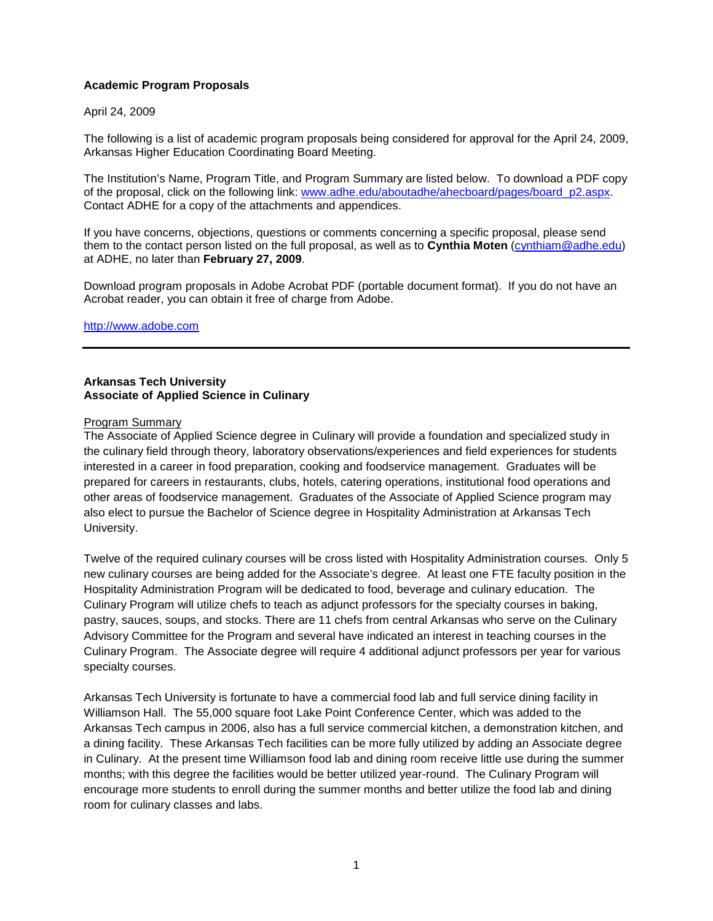# **Academic Program Proposals**

# April 24, 2009

The following is a list of academic program proposals being considered for approval for the April 24, 2009, Arkansas Higher Education Coordinating Board Meeting.

The Institution's Name, Program Title, and Program Summary are listed below. To download a PDF copy of the proposal, click on the following link: [www.adhe.edu/aboutadhe/ahecboard/pages/board\\_p2.aspx.](http://www.adhe.edu/aboutadhe/ahecboard/pages/board_p2.aspx) Contact ADHE for a copy of the attachments and appendices.

If you have concerns, objections, questions or comments concerning a specific proposal, please send them to the contact person listed on the full proposal, as well as to **Cynthia Moten** [\(cynthiam@adhe.edu\)](mailto:cynthiam@adhe.edu) at ADHE, no later than **February 27, 2009**.

Download program proposals in Adobe Acrobat PDF (portable document format). If you do not have an Acrobat reader, you can obtain it free of charge from Adobe.

### [http://www.adobe.com](http://www.adobe.com/)

### **Arkansas Tech University Associate of Applied Science in Culinary**

### Program Summary

The Associate of Applied Science degree in Culinary will provide a foundation and specialized study in the culinary field through theory, laboratory observations/experiences and field experiences for students interested in a career in food preparation, cooking and foodservice management. Graduates will be prepared for careers in restaurants, clubs, hotels, catering operations, institutional food operations and other areas of foodservice management. Graduates of the Associate of Applied Science program may also elect to pursue the Bachelor of Science degree in Hospitality Administration at Arkansas Tech University.

Twelve of the required culinary courses will be cross listed with Hospitality Administration courses. Only 5 new culinary courses are being added for the Associate's degree. At least one FTE faculty position in the Hospitality Administration Program will be dedicated to food, beverage and culinary education. The Culinary Program will utilize chefs to teach as adjunct professors for the specialty courses in baking, pastry, sauces, soups, and stocks. There are 11 chefs from central Arkansas who serve on the Culinary Advisory Committee for the Program and several have indicated an interest in teaching courses in the Culinary Program. The Associate degree will require 4 additional adjunct professors per year for various specialty courses.

Arkansas Tech University is fortunate to have a commercial food lab and full service dining facility in Williamson Hall. The 55,000 square foot Lake Point Conference Center, which was added to the Arkansas Tech campus in 2006, also has a full service commercial kitchen, a demonstration kitchen, and a dining facility. These Arkansas Tech facilities can be more fully utilized by adding an Associate degree in Culinary. At the present time Williamson food lab and dining room receive little use during the summer months; with this degree the facilities would be better utilized year-round. The Culinary Program will encourage more students to enroll during the summer months and better utilize the food lab and dining room for culinary classes and labs.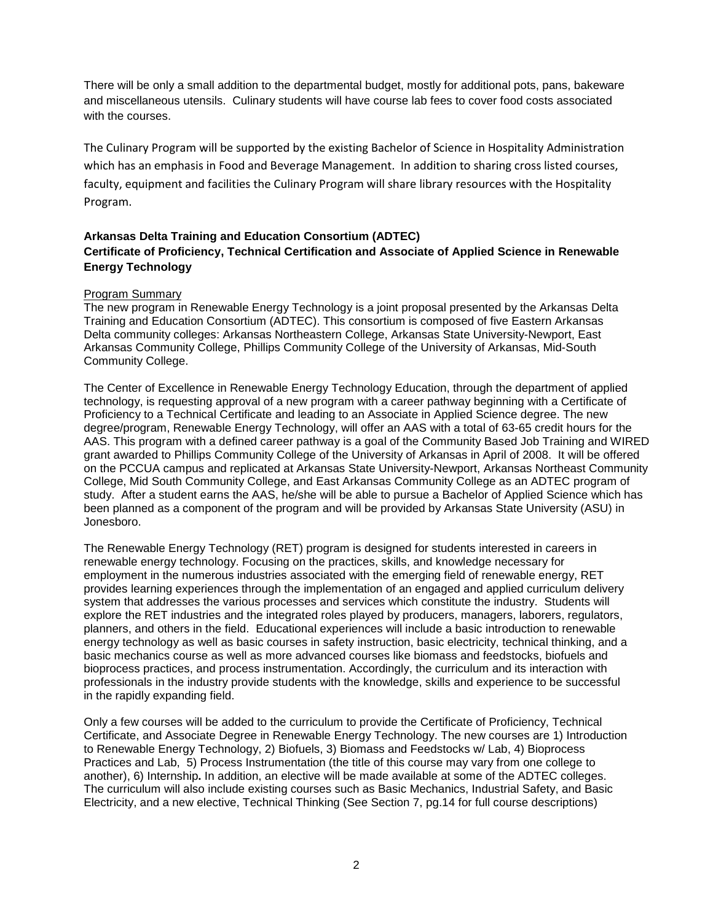There will be only a small addition to the departmental budget, mostly for additional pots, pans, bakeware and miscellaneous utensils. Culinary students will have course lab fees to cover food costs associated with the courses.

The Culinary Program will be supported by the existing Bachelor of Science in Hospitality Administration which has an emphasis in Food and Beverage Management. In addition to sharing cross listed courses, faculty, equipment and facilities the Culinary Program will share library resources with the Hospitality Program.

# **Arkansas Delta Training and Education Consortium (ADTEC) Certificate of Proficiency, Technical Certification and Associate of Applied Science in Renewable Energy Technology**

# Program Summary

The new program in Renewable Energy Technology is a joint proposal presented by the Arkansas Delta Training and Education Consortium (ADTEC). This consortium is composed of five Eastern Arkansas Delta community colleges: Arkansas Northeastern College, Arkansas State University-Newport, East Arkansas Community College, Phillips Community College of the University of Arkansas, Mid-South Community College.

The Center of Excellence in Renewable Energy Technology Education, through the department of applied technology, is requesting approval of a new program with a career pathway beginning with a Certificate of Proficiency to a Technical Certificate and leading to an Associate in Applied Science degree. The new degree/program, Renewable Energy Technology, will offer an AAS with a total of 63-65 credit hours for the AAS. This program with a defined career pathway is a goal of the Community Based Job Training and WIRED grant awarded to Phillips Community College of the University of Arkansas in April of 2008. It will be offered on the PCCUA campus and replicated at Arkansas State University-Newport, Arkansas Northeast Community College, Mid South Community College, and East Arkansas Community College as an ADTEC program of study. After a student earns the AAS, he/she will be able to pursue a Bachelor of Applied Science which has been planned as a component of the program and will be provided by Arkansas State University (ASU) in Jonesboro.

The Renewable Energy Technology (RET) program is designed for students interested in careers in renewable energy technology. Focusing on the practices, skills, and knowledge necessary for employment in the numerous industries associated with the emerging field of renewable energy, RET provides learning experiences through the implementation of an engaged and applied curriculum delivery system that addresses the various processes and services which constitute the industry. Students will explore the RET industries and the integrated roles played by producers, managers, laborers, regulators, planners, and others in the field. Educational experiences will include a basic introduction to renewable energy technology as well as basic courses in safety instruction, basic electricity, technical thinking, and a basic mechanics course as well as more advanced courses like biomass and feedstocks, biofuels and bioprocess practices, and process instrumentation. Accordingly, the curriculum and its interaction with professionals in the industry provide students with the knowledge, skills and experience to be successful in the rapidly expanding field.

Only a few courses will be added to the curriculum to provide the Certificate of Proficiency, Technical Certificate, and Associate Degree in Renewable Energy Technology. The new courses are 1) Introduction to Renewable Energy Technology, 2) Biofuels, 3) Biomass and Feedstocks w/ Lab, 4) Bioprocess Practices and Lab, 5) Process Instrumentation (the title of this course may vary from one college to another), 6) Internship**.** In addition, an elective will be made available at some of the ADTEC colleges. The curriculum will also include existing courses such as Basic Mechanics, Industrial Safety, and Basic Electricity, and a new elective, Technical Thinking (See Section 7, pg.14 for full course descriptions)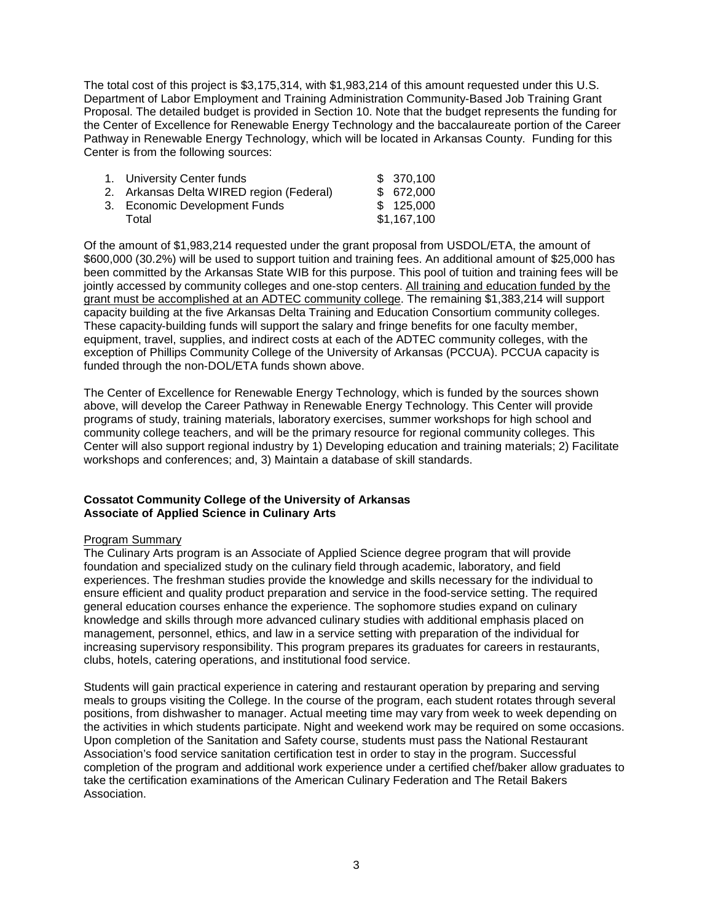The total cost of this project is \$3,175,314, with \$1,983,214 of this amount requested under this U.S. Department of Labor Employment and Training Administration Community-Based Job Training Grant Proposal. The detailed budget is provided in Section 10. Note that the budget represents the funding for the Center of Excellence for Renewable Energy Technology and the baccalaureate portion of the Career Pathway in Renewable Energy Technology, which will be located in Arkansas County. Funding for this Center is from the following sources:

| 1. University Center funds               | \$370,100   |
|------------------------------------------|-------------|
| 2. Arkansas Delta WIRED region (Federal) | \$672,000   |
| 3. Economic Development Funds            | \$125,000   |
| Total                                    | \$1,167,100 |

Of the amount of \$1,983,214 requested under the grant proposal from USDOL/ETA, the amount of \$600,000 (30.2%) will be used to support tuition and training fees. An additional amount of \$25,000 has been committed by the Arkansas State WIB for this purpose. This pool of tuition and training fees will be jointly accessed by community colleges and one-stop centers. All training and education funded by the grant must be accomplished at an ADTEC community college. The remaining \$1,383,214 will support capacity building at the five Arkansas Delta Training and Education Consortium community colleges. These capacity-building funds will support the salary and fringe benefits for one faculty member, equipment, travel, supplies, and indirect costs at each of the ADTEC community colleges, with the exception of Phillips Community College of the University of Arkansas (PCCUA). PCCUA capacity is funded through the non-DOL/ETA funds shown above.

The Center of Excellence for Renewable Energy Technology, which is funded by the sources shown above, will develop the Career Pathway in Renewable Energy Technology. This Center will provide programs of study, training materials, laboratory exercises, summer workshops for high school and community college teachers, and will be the primary resource for regional community colleges. This Center will also support regional industry by 1) Developing education and training materials; 2) Facilitate workshops and conferences; and, 3) Maintain a database of skill standards.

# **Cossatot Community College of the University of Arkansas Associate of Applied Science in Culinary Arts**

### Program Summary

The Culinary Arts program is an Associate of Applied Science degree program that will provide foundation and specialized study on the culinary field through academic, laboratory, and field experiences. The freshman studies provide the knowledge and skills necessary for the individual to ensure efficient and quality product preparation and service in the food-service setting. The required general education courses enhance the experience. The sophomore studies expand on culinary knowledge and skills through more advanced culinary studies with additional emphasis placed on management, personnel, ethics, and law in a service setting with preparation of the individual for increasing supervisory responsibility. This program prepares its graduates for careers in restaurants, clubs, hotels, catering operations, and institutional food service.

Students will gain practical experience in catering and restaurant operation by preparing and serving meals to groups visiting the College. In the course of the program, each student rotates through several positions, from dishwasher to manager. Actual meeting time may vary from week to week depending on the activities in which students participate. Night and weekend work may be required on some occasions. Upon completion of the Sanitation and Safety course, students must pass the National Restaurant Association's food service sanitation certification test in order to stay in the program. Successful completion of the program and additional work experience under a certified chef/baker allow graduates to take the certification examinations of the American Culinary Federation and The Retail Bakers Association.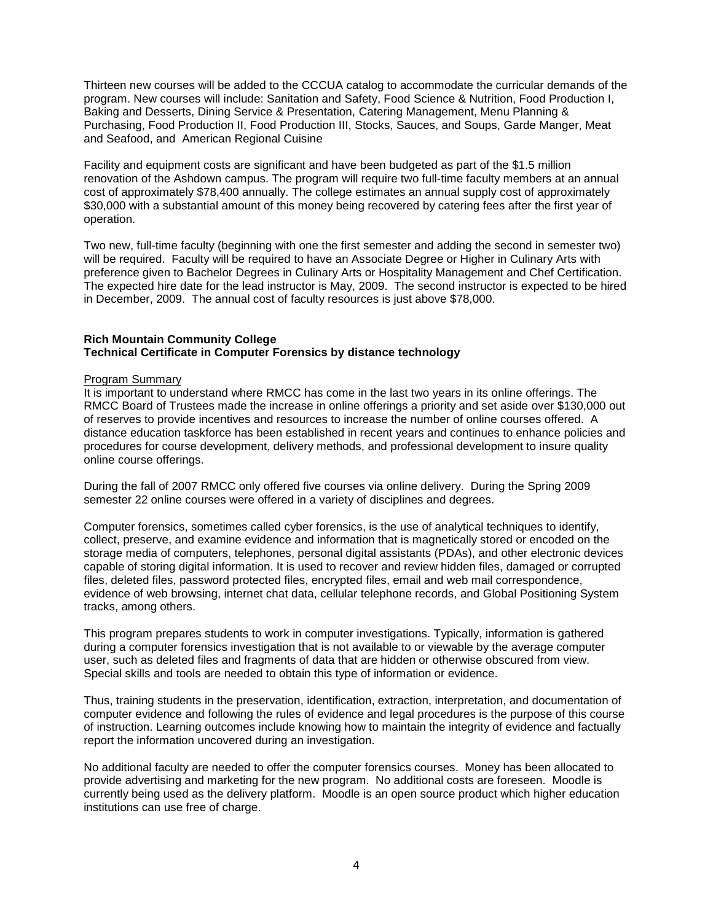Thirteen new courses will be added to the CCCUA catalog to accommodate the curricular demands of the program. New courses will include: Sanitation and Safety, Food Science & Nutrition, Food Production I, Baking and Desserts, Dining Service & Presentation, Catering Management, Menu Planning & Purchasing, Food Production II, Food Production III, Stocks, Sauces, and Soups, Garde Manger, Meat and Seafood, and American Regional Cuisine

Facility and equipment costs are significant and have been budgeted as part of the \$1.5 million renovation of the Ashdown campus. The program will require two full-time faculty members at an annual cost of approximately \$78,400 annually. The college estimates an annual supply cost of approximately \$30,000 with a substantial amount of this money being recovered by catering fees after the first year of operation.

Two new, full-time faculty (beginning with one the first semester and adding the second in semester two) will be required. Faculty will be required to have an Associate Degree or Higher in Culinary Arts with preference given to Bachelor Degrees in Culinary Arts or Hospitality Management and Chef Certification. The expected hire date for the lead instructor is May, 2009. The second instructor is expected to be hired in December, 2009. The annual cost of faculty resources is just above \$78,000.

# **Rich Mountain Community College Technical Certificate in Computer Forensics by distance technology**

### Program Summary

It is important to understand where RMCC has come in the last two years in its online offerings. The RMCC Board of Trustees made the increase in online offerings a priority and set aside over \$130,000 out of reserves to provide incentives and resources to increase the number of online courses offered. A distance education taskforce has been established in recent years and continues to enhance policies and procedures for course development, delivery methods, and professional development to insure quality online course offerings.

During the fall of 2007 RMCC only offered five courses via online delivery. During the Spring 2009 semester 22 online courses were offered in a variety of disciplines and degrees.

Computer forensics, sometimes called cyber forensics, is the use of analytical techniques to identify, collect, preserve, and examine evidence and information that is magnetically stored or encoded on the storage media of computers, telephones, personal digital assistants (PDAs), and other electronic devices capable of storing digital information. It is used to recover and review hidden files, damaged or corrupted files, deleted files, password protected files, encrypted files, email and web mail correspondence, evidence of web browsing, internet chat data, cellular telephone records, and Global Positioning System tracks, among others.

This program prepares students to work in computer investigations. Typically, information is gathered during a computer forensics investigation that is not available to or viewable by the average computer user, such as deleted files and fragments of data that are hidden or otherwise obscured from view. Special skills and tools are needed to obtain this type of information or evidence.

Thus, training students in the preservation, identification, extraction, interpretation, and documentation of computer evidence and following the rules of evidence and legal procedures is the purpose of this course of instruction. Learning outcomes include knowing how to maintain the integrity of evidence and factually report the information uncovered during an investigation.

No additional faculty are needed to offer the computer forensics courses. Money has been allocated to provide advertising and marketing for the new program. No additional costs are foreseen. Moodle is currently being used as the delivery platform. Moodle is an open source product which higher education institutions can use free of charge.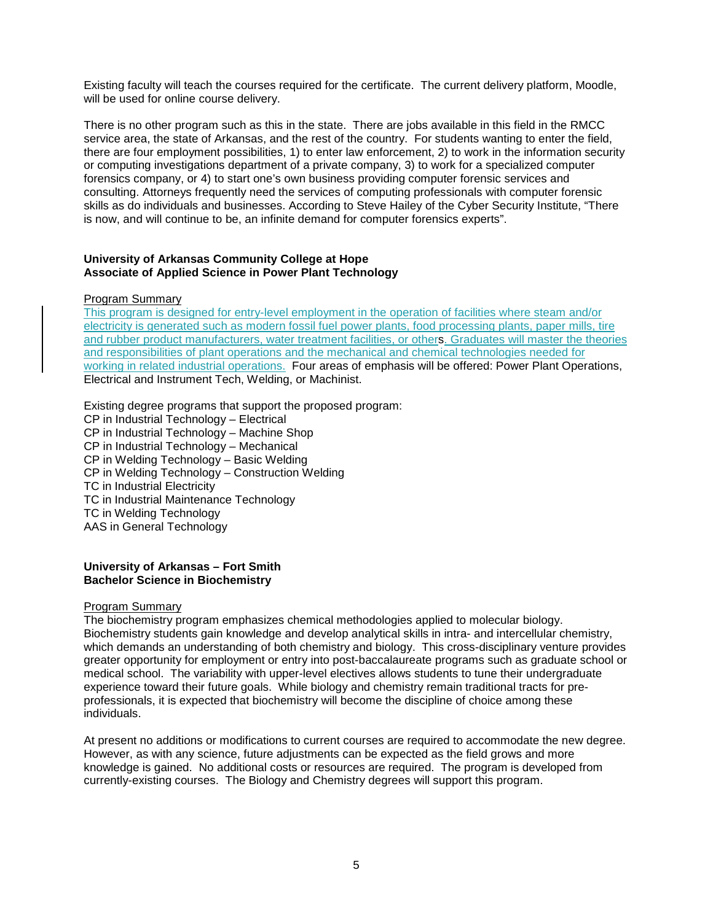Existing faculty will teach the courses required for the certificate. The current delivery platform, Moodle, will be used for online course delivery.

There is no other program such as this in the state. There are jobs available in this field in the RMCC service area, the state of Arkansas, and the rest of the country. For students wanting to enter the field, there are four employment possibilities, 1) to enter law enforcement, 2) to work in the information security or computing investigations department of a private company, 3) to work for a specialized computer forensics company, or 4) to start one's own business providing computer forensic services and consulting. Attorneys frequently need the services of computing professionals with computer forensic skills as do individuals and businesses. According to Steve Hailey of the Cyber Security Institute, "There is now, and will continue to be, an infinite demand for computer forensics experts".

### **University of Arkansas Community College at Hope Associate of Applied Science in Power Plant Technology**

### Program Summary

This program is designed for entry-level employment in the operation of facilities where steam and/or electricity is generated such as modern fossil fuel power plants, food processing plants, paper mills, tire and rubber product manufacturers, water treatment facilities, or others. Graduates will master the theories and responsibilities of plant operations and the mechanical and chemical technologies needed for working in related industrial operations. Four areas of emphasis will be offered: Power Plant Operations, Electrical and Instrument Tech, Welding, or Machinist.

Existing degree programs that support the proposed program: CP in Industrial Technology – Electrical CP in Industrial Technology – Machine Shop CP in Industrial Technology – Mechanical CP in Welding Technology – Basic Welding CP in Welding Technology – Construction Welding TC in Industrial Electricity TC in Industrial Maintenance Technology TC in Welding Technology AAS in General Technology

### **University of Arkansas – Fort Smith Bachelor Science in Biochemistry**

#### Program Summary

The biochemistry program emphasizes chemical methodologies applied to molecular biology. Biochemistry students gain knowledge and develop analytical skills in intra- and intercellular chemistry, which demands an understanding of both chemistry and biology. This cross-disciplinary venture provides greater opportunity for employment or entry into post-baccalaureate programs such as graduate school or medical school. The variability with upper-level electives allows students to tune their undergraduate experience toward their future goals. While biology and chemistry remain traditional tracts for preprofessionals, it is expected that biochemistry will become the discipline of choice among these individuals.

At present no additions or modifications to current courses are required to accommodate the new degree. However, as with any science, future adjustments can be expected as the field grows and more knowledge is gained. No additional costs or resources are required. The program is developed from currently-existing courses. The Biology and Chemistry degrees will support this program.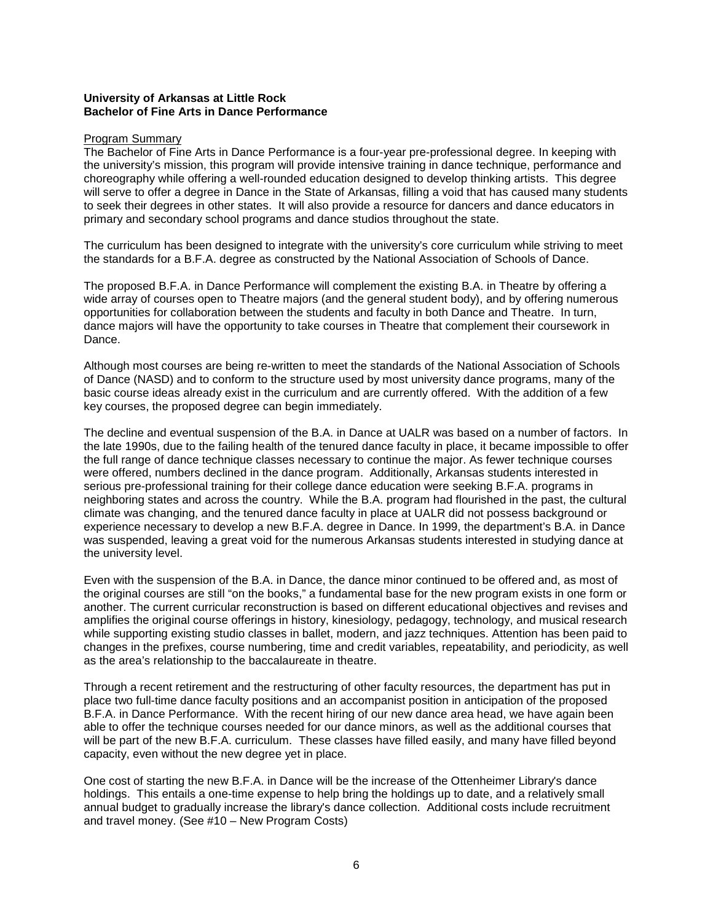# **University of Arkansas at Little Rock Bachelor of Fine Arts in Dance Performance**

#### Program Summary

The Bachelor of Fine Arts in Dance Performance is a four-year pre-professional degree. In keeping with the university's mission, this program will provide intensive training in dance technique, performance and choreography while offering a well-rounded education designed to develop thinking artists. This degree will serve to offer a degree in Dance in the State of Arkansas, filling a void that has caused many students to seek their degrees in other states. It will also provide a resource for dancers and dance educators in primary and secondary school programs and dance studios throughout the state.

The curriculum has been designed to integrate with the university's core curriculum while striving to meet the standards for a B.F.A. degree as constructed by the National Association of Schools of Dance.

The proposed B.F.A. in Dance Performance will complement the existing B.A. in Theatre by offering a wide array of courses open to Theatre majors (and the general student body), and by offering numerous opportunities for collaboration between the students and faculty in both Dance and Theatre. In turn, dance majors will have the opportunity to take courses in Theatre that complement their coursework in Dance.

Although most courses are being re-written to meet the standards of the National Association of Schools of Dance (NASD) and to conform to the structure used by most university dance programs, many of the basic course ideas already exist in the curriculum and are currently offered. With the addition of a few key courses, the proposed degree can begin immediately.

The decline and eventual suspension of the B.A. in Dance at UALR was based on a number of factors. In the late 1990s, due to the failing health of the tenured dance faculty in place, it became impossible to offer the full range of dance technique classes necessary to continue the major. As fewer technique courses were offered, numbers declined in the dance program. Additionally, Arkansas students interested in serious pre-professional training for their college dance education were seeking B.F.A. programs in neighboring states and across the country. While the B.A. program had flourished in the past, the cultural climate was changing, and the tenured dance faculty in place at UALR did not possess background or experience necessary to develop a new B.F.A. degree in Dance. In 1999, the department's B.A. in Dance was suspended, leaving a great void for the numerous Arkansas students interested in studying dance at the university level.

Even with the suspension of the B.A. in Dance, the dance minor continued to be offered and, as most of the original courses are still "on the books," a fundamental base for the new program exists in one form or another. The current curricular reconstruction is based on different educational objectives and revises and amplifies the original course offerings in history, kinesiology, pedagogy, technology, and musical research while supporting existing studio classes in ballet, modern, and jazz techniques. Attention has been paid to changes in the prefixes, course numbering, time and credit variables, repeatability, and periodicity, as well as the area's relationship to the baccalaureate in theatre.

Through a recent retirement and the restructuring of other faculty resources, the department has put in place two full-time dance faculty positions and an accompanist position in anticipation of the proposed B.F.A. in Dance Performance. With the recent hiring of our new dance area head, we have again been able to offer the technique courses needed for our dance minors, as well as the additional courses that will be part of the new B.F.A. curriculum. These classes have filled easily, and many have filled beyond capacity, even without the new degree yet in place.

One cost of starting the new B.F.A. in Dance will be the increase of the Ottenheimer Library's dance holdings. This entails a one-time expense to help bring the holdings up to date, and a relatively small annual budget to gradually increase the library's dance collection. Additional costs include recruitment and travel money. (See #10 – New Program Costs)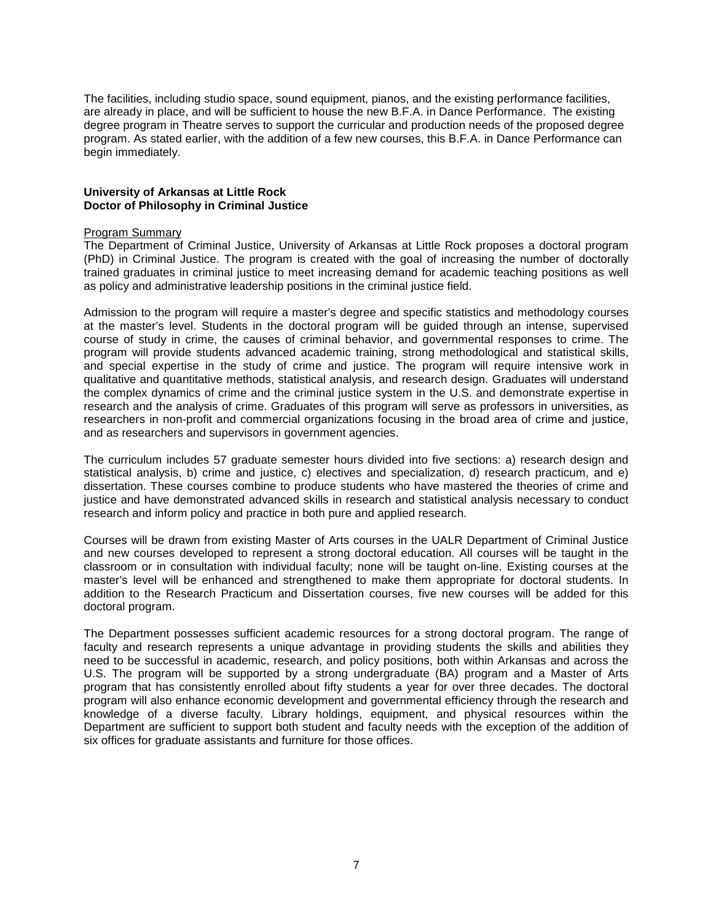The facilities, including studio space, sound equipment, pianos, and the existing performance facilities, are already in place, and will be sufficient to house the new B.F.A. in Dance Performance. The existing degree program in Theatre serves to support the curricular and production needs of the proposed degree program. As stated earlier, with the addition of a few new courses, this B.F.A. in Dance Performance can begin immediately.

### **University of Arkansas at Little Rock Doctor of Philosophy in Criminal Justice**

### Program Summary

The Department of Criminal Justice, University of Arkansas at Little Rock proposes a doctoral program (PhD) in Criminal Justice. The program is created with the goal of increasing the number of doctorally trained graduates in criminal justice to meet increasing demand for academic teaching positions as well as policy and administrative leadership positions in the criminal justice field.

Admission to the program will require a master's degree and specific statistics and methodology courses at the master's level. Students in the doctoral program will be guided through an intense, supervised course of study in crime, the causes of criminal behavior, and governmental responses to crime. The program will provide students advanced academic training, strong methodological and statistical skills, and special expertise in the study of crime and justice. The program will require intensive work in qualitative and quantitative methods, statistical analysis, and research design. Graduates will understand the complex dynamics of crime and the criminal justice system in the U.S. and demonstrate expertise in research and the analysis of crime. Graduates of this program will serve as professors in universities, as researchers in non-profit and commercial organizations focusing in the broad area of crime and justice, and as researchers and supervisors in government agencies.

The curriculum includes 57 graduate semester hours divided into five sections: a) research design and statistical analysis, b) crime and justice, c) electives and specialization, d) research practicum, and e) dissertation. These courses combine to produce students who have mastered the theories of crime and justice and have demonstrated advanced skills in research and statistical analysis necessary to conduct research and inform policy and practice in both pure and applied research.

Courses will be drawn from existing Master of Arts courses in the UALR Department of Criminal Justice and new courses developed to represent a strong doctoral education. All courses will be taught in the classroom or in consultation with individual faculty; none will be taught on-line. Existing courses at the master's level will be enhanced and strengthened to make them appropriate for doctoral students. In addition to the Research Practicum and Dissertation courses, five new courses will be added for this doctoral program.

The Department possesses sufficient academic resources for a strong doctoral program. The range of faculty and research represents a unique advantage in providing students the skills and abilities they need to be successful in academic, research, and policy positions, both within Arkansas and across the U.S. The program will be supported by a strong undergraduate (BA) program and a Master of Arts program that has consistently enrolled about fifty students a year for over three decades. The doctoral program will also enhance economic development and governmental efficiency through the research and knowledge of a diverse faculty. Library holdings, equipment, and physical resources within the Department are sufficient to support both student and faculty needs with the exception of the addition of six offices for graduate assistants and furniture for those offices.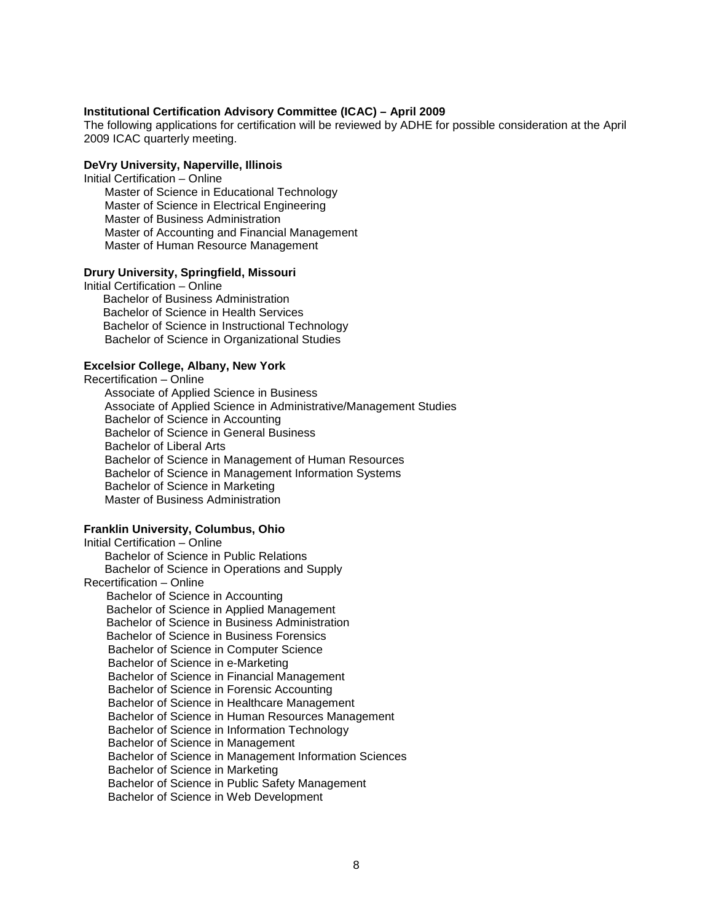#### **Institutional Certification Advisory Committee (ICAC) – April 2009**

The following applications for certification will be reviewed by ADHE for possible consideration at the April 2009 ICAC quarterly meeting.

### **DeVry University, Naperville, Illinois**

Initial Certification – Online Master of Science in Educational Technology Master of Science in Electrical Engineering Master of Business Administration Master of Accounting and Financial Management Master of Human Resource Management

### **Drury University, Springfield, Missouri**

Initial Certification – Online Bachelor of Business Administration Bachelor of Science in Health Services Bachelor of Science in Instructional Technology Bachelor of Science in Organizational Studies

### **Excelsior College, Albany, New York**

Recertification – Online Associate of Applied Science in Business Associate of Applied Science in Administrative/Management Studies Bachelor of Science in Accounting Bachelor of Science in General Business Bachelor of Liberal Arts Bachelor of Science in Management of Human Resources Bachelor of Science in Management Information Systems Bachelor of Science in Marketing Master of Business Administration

### **Franklin University, Columbus, Ohio**

Initial Certification – Online Bachelor of Science in Public Relations Bachelor of Science in Operations and Supply Recertification – Online Bachelor of Science in Accounting Bachelor of Science in Applied Management Bachelor of Science in Business Administration Bachelor of Science in Business Forensics Bachelor of Science in Computer Science Bachelor of Science in e-Marketing Bachelor of Science in Financial Management Bachelor of Science in Forensic Accounting Bachelor of Science in Healthcare Management Bachelor of Science in Human Resources Management Bachelor of Science in Information Technology Bachelor of Science in Management Bachelor of Science in Management Information Sciences Bachelor of Science in Marketing Bachelor of Science in Public Safety Management Bachelor of Science in Web Development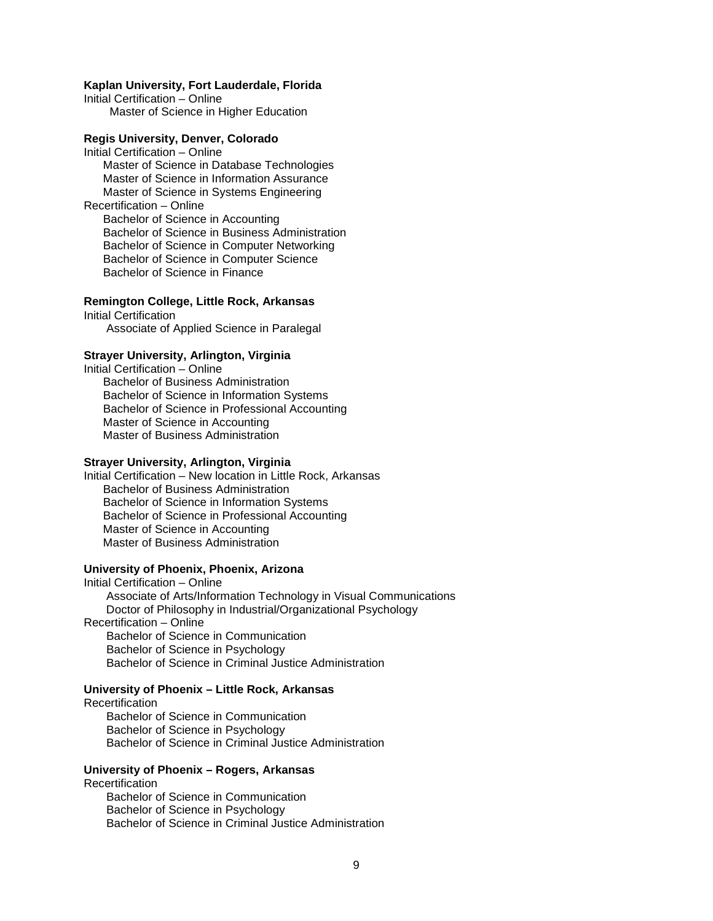### **Kaplan University, Fort Lauderdale, Florida**

Initial Certification – Online Master of Science in Higher Education

### **Regis University, Denver, Colorado**

Initial Certification – Online Master of Science in Database Technologies Master of Science in Information Assurance Master of Science in Systems Engineering Recertification – Online Bachelor of Science in Accounting Bachelor of Science in Business Administration Bachelor of Science in Computer Networking Bachelor of Science in Computer Science Bachelor of Science in Finance

**Remington College, Little Rock, Arkansas** 

Initial Certification Associate of Applied Science in Paralegal

#### **Strayer University, Arlington, Virginia**

Initial Certification – Online Bachelor of Business Administration Bachelor of Science in Information Systems Bachelor of Science in Professional Accounting Master of Science in Accounting Master of Business Administration

#### **Strayer University, Arlington, Virginia**

Initial Certification – New location in Little Rock, Arkansas Bachelor of Business Administration Bachelor of Science in Information Systems Bachelor of Science in Professional Accounting Master of Science in Accounting Master of Business Administration

### **University of Phoenix, Phoenix, Arizona**

Initial Certification – Online Associate of Arts/Information Technology in Visual Communications Doctor of Philosophy in Industrial/Organizational Psychology Recertification – Online Bachelor of Science in Communication Bachelor of Science in Psychology Bachelor of Science in Criminal Justice Administration

### **University of Phoenix – Little Rock, Arkansas**

Recertification Bachelor of Science in Communication Bachelor of Science in Psychology Bachelor of Science in Criminal Justice Administration

### **University of Phoenix – Rogers, Arkansas**

Recertification Bachelor of Science in Communication Bachelor of Science in Psychology Bachelor of Science in Criminal Justice Administration